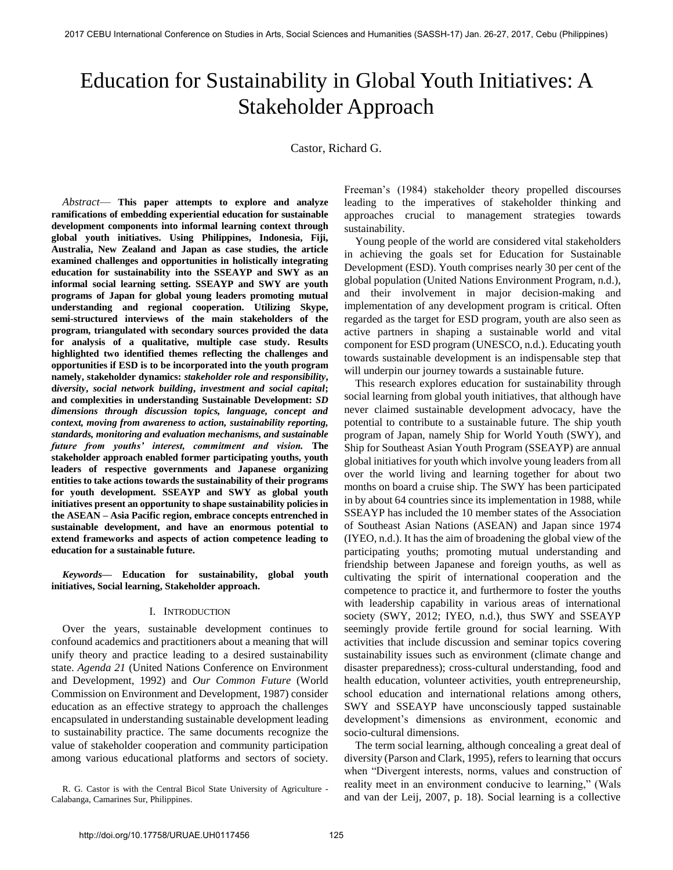# Education for Sustainability in Global Youth Initiatives: A Stakeholder Approach

Castor, Richard G.

*Abstract*— **This paper attempts to explore and analyze ramifications of embedding experiential education for sustainable development components into informal learning context through global youth initiatives. Using Philippines, Indonesia, Fiji, Australia, New Zealand and Japan as case studies, the article examined challenges and opportunities in holistically integrating education for sustainability into the SSEAYP and SWY as an informal social learning setting. SSEAYP and SWY are youth programs of Japan for global young leaders promoting mutual understanding and regional cooperation. Utilizing Skype, semi-structured interviews of the main stakeholders of the program, triangulated with secondary sources provided the data for analysis of a qualitative, multiple case study. Results highlighted two identified themes reflecting the challenges and opportunities if ESD is to be incorporated into the youth program namely, stakeholder dynamics:** *stakeholder role and responsibility***, d***iversity***,** *social network building***,** *investment and social capital***; and complexities in understanding Sustainable Development:** *SD dimensions through discussion topics, language, concept and context, moving from awareness to action, sustainability reporting, standards, monitoring and evaluation mechanisms, and sustainable future from youths' interest, commitment and vision.* **The stakeholder approach enabled former participating youths, youth leaders of respective governments and Japanese organizing entities to take actions towards the sustainability of their programs for youth development. SSEAYP and SWY as global youth initiatives present an opportunity to shape sustainability policies in the ASEAN – Asia Pacific region, embrace concepts entrenched in sustainable development, and have an enormous potential to extend frameworks and aspects of action competence leading to education for a sustainable future.** 

*Keywords***— Education for sustainability, global youth initiatives, Social learning, Stakeholder approach.** 

## I. INTRODUCTION

Over the years, sustainable development continues to confound academics and practitioners about a meaning that will unify theory and practice leading to a desired sustainability state. *Agenda 21* (United Nations Conference on Environment and Development, 1992) and *Our Common Future* (World Commission on Environment and Development, 1987) consider education as an effective strategy to approach the challenges encapsulated in understanding sustainable development leading to sustainability practice. The same documents recognize the value of stakeholder cooperation and community participation among various educational platforms and sectors of society.

R. G. Castor is with the Central Bicol State University of Agriculture - Calabanga, Camarines Sur, Philippines.

Freeman's (1984) stakeholder theory propelled discourses leading to the imperatives of stakeholder thinking and approaches crucial to management strategies towards sustainability.

Young people of the world are considered vital stakeholders in achieving the goals set for Education for Sustainable Development (ESD). Youth comprises nearly 30 per cent of the global population (United Nations Environment Program, n.d.), and their involvement in major decision-making and implementation of any development program is critical. Often regarded as the target for ESD program, youth are also seen as active partners in shaping a sustainable world and vital component for ESD program (UNESCO, n.d.). Educating youth towards sustainable development is an indispensable step that will underpin our journey towards a sustainable future.

This research explores education for sustainability through social learning from global youth initiatives, that although have never claimed sustainable development advocacy, have the potential to contribute to a sustainable future. The ship youth program of Japan, namely Ship for World Youth (SWY), and Ship for Southeast Asian Youth Program (SSEAYP) are annual global initiatives for youth which involve young leaders from all over the world living and learning together for about two months on board a cruise ship. The SWY has been participated in by about 64 countries since its implementation in 1988, while SSEAYP has included the 10 member states of the Association of Southeast Asian Nations (ASEAN) and Japan since 1974 (IYEO, n.d.). It has the aim of broadening the global view of the participating youths; promoting mutual understanding and friendship between Japanese and foreign youths, as well as cultivating the spirit of international cooperation and the competence to practice it, and furthermore to foster the youths with leadership capability in various areas of international society (SWY, 2012; IYEO, n.d.), thus SWY and SSEAYP seemingly provide fertile ground for social learning. With activities that include discussion and seminar topics covering sustainability issues such as environment (climate change and disaster preparedness); cross-cultural understanding, food and health education, volunteer activities, youth entrepreneurship, school education and international relations among others, SWY and SSEAYP have unconsciously tapped sustainable development's dimensions as environment, economic and socio-cultural dimensions.

The term social learning, although concealing a great deal of diversity (Parson and Clark, 1995), refers to learning that occurs when "Divergent interests, norms, values and construction of reality meet in an environment conducive to learning," (Wals and van der Leij, 2007, p. 18). Social learning is a collective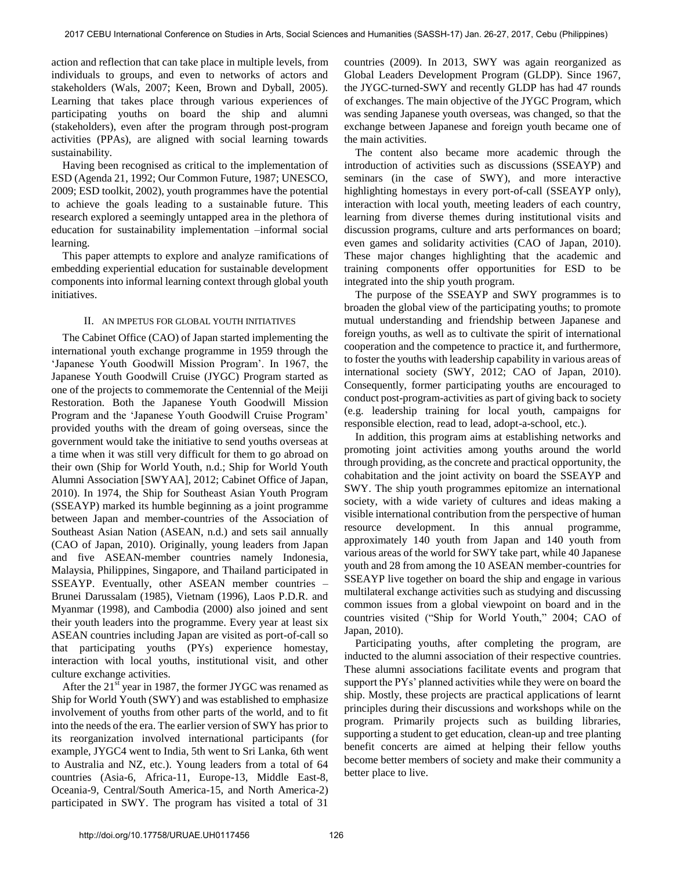action and reflection that can take place in multiple levels, from individuals to groups, and even to networks of actors and stakeholders (Wals, 2007; Keen, Brown and Dyball, 2005). Learning that takes place through various experiences of participating youths on board the ship and alumni (stakeholders), even after the program through post-program activities (PPAs), are aligned with social learning towards sustainability.

Having been recognised as critical to the implementation of ESD (Agenda 21, 1992; Our Common Future, 1987; UNESCO, 2009; ESD toolkit, 2002), youth programmes have the potential to achieve the goals leading to a sustainable future. This research explored a seemingly untapped area in the plethora of education for sustainability implementation –informal social learning.

This paper attempts to explore and analyze ramifications of embedding experiential education for sustainable development components into informal learning context through global youth initiatives.

## II. AN IMPETUS FOR GLOBAL YOUTH INITIATIVES

The Cabinet Office (CAO) of Japan started implementing the international youth exchange programme in 1959 through the 'Japanese Youth Goodwill Mission Program'. In 1967, the Japanese Youth Goodwill Cruise (JYGC) Program started as one of the projects to commemorate the Centennial of the Meiji Restoration. Both the Japanese Youth Goodwill Mission Program and the 'Japanese Youth Goodwill Cruise Program' provided youths with the dream of going overseas, since the government would take the initiative to send youths overseas at a time when it was still very difficult for them to go abroad on their own (Ship for World Youth, n.d.; Ship for World Youth Alumni Association [SWYAA], 2012; Cabinet Office of Japan, 2010). In 1974, the Ship for Southeast Asian Youth Program (SSEAYP) marked its humble beginning as a joint programme between Japan and member-countries of the Association of Southeast Asian Nation (ASEAN, n.d.) and sets sail annually (CAO of Japan, 2010). Originally, young leaders from Japan and five ASEAN-member countries namely Indonesia, Malaysia, Philippines, Singapore, and Thailand participated in SSEAYP. Eventually, other ASEAN member countries – Brunei Darussalam (1985), Vietnam (1996), Laos P.D.R. and Myanmar (1998), and Cambodia (2000) also joined and sent their youth leaders into the programme. Every year at least six ASEAN countries including Japan are visited as port-of-call so that participating youths (PYs) experience homestay, interaction with local youths, institutional visit, and other culture exchange activities.

After the  $21<sup>st</sup>$  year in 1987, the former JYGC was renamed as Ship for World Youth (SWY) and was established to emphasize involvement of youths from other parts of the world, and to fit into the needs of the era. The earlier version of SWY has prior to its reorganization involved international participants (for example, JYGC4 went to India, 5th went to Sri Lanka, 6th went to Australia and NZ, etc.). Young leaders from a total of 64 countries (Asia-6, Africa-11, Europe-13, Middle East-8, Oceania-9, Central/South America-15, and North America-2) participated in SWY. The program has visited a total of 31

countries (2009). In 2013, SWY was again reorganized as Global Leaders Development Program (GLDP). Since 1967, the JYGC-turned-SWY and recently GLDP has had 47 rounds of exchanges. The main objective of the JYGC Program, which was sending Japanese youth overseas, was changed, so that the exchange between Japanese and foreign youth became one of the main activities.

The content also became more academic through the introduction of activities such as discussions (SSEAYP) and seminars (in the case of SWY), and more interactive highlighting homestays in every port-of-call (SSEAYP only), interaction with local youth, meeting leaders of each country, learning from diverse themes during institutional visits and discussion programs, culture and arts performances on board; even games and solidarity activities (CAO of Japan, 2010). These major changes highlighting that the academic and training components offer opportunities for ESD to be integrated into the ship youth program.

The purpose of the SSEAYP and SWY programmes is to broaden the global view of the participating youths; to promote mutual understanding and friendship between Japanese and foreign youths, as well as to cultivate the spirit of international cooperation and the competence to practice it, and furthermore, to foster the youths with leadership capability in various areas of international society (SWY, 2012; CAO of Japan, 2010). Consequently, former participating youths are encouraged to conduct post-program-activities as part of giving back to society (e.g. leadership training for local youth, campaigns for responsible election, read to lead, adopt-a-school, etc.).

In addition, this program aims at establishing networks and promoting joint activities among youths around the world through providing, as the concrete and practical opportunity, the cohabitation and the joint activity on board the SSEAYP and SWY. The ship youth programmes epitomize an international society, with a wide variety of cultures and ideas making a visible international contribution from the perspective of human resource development. In this annual programme, approximately 140 youth from Japan and 140 youth from various areas of the world for SWY take part, while 40 Japanese youth and 28 from among the 10 ASEAN member-countries for SSEAYP live together on board the ship and engage in various multilateral exchange activities such as studying and discussing common issues from a global viewpoint on board and in the countries visited ("Ship for World Youth," 2004; CAO of Japan, 2010).

Participating youths, after completing the program, are inducted to the alumni association of their respective countries. These alumni associations facilitate events and program that support the PYs' planned activities while they were on board the ship. Mostly, these projects are practical applications of learnt principles during their discussions and workshops while on the program. Primarily projects such as building libraries, supporting a student to get education, clean-up and tree planting benefit concerts are aimed at helping their fellow youths become better members of society and make their community a better place to live.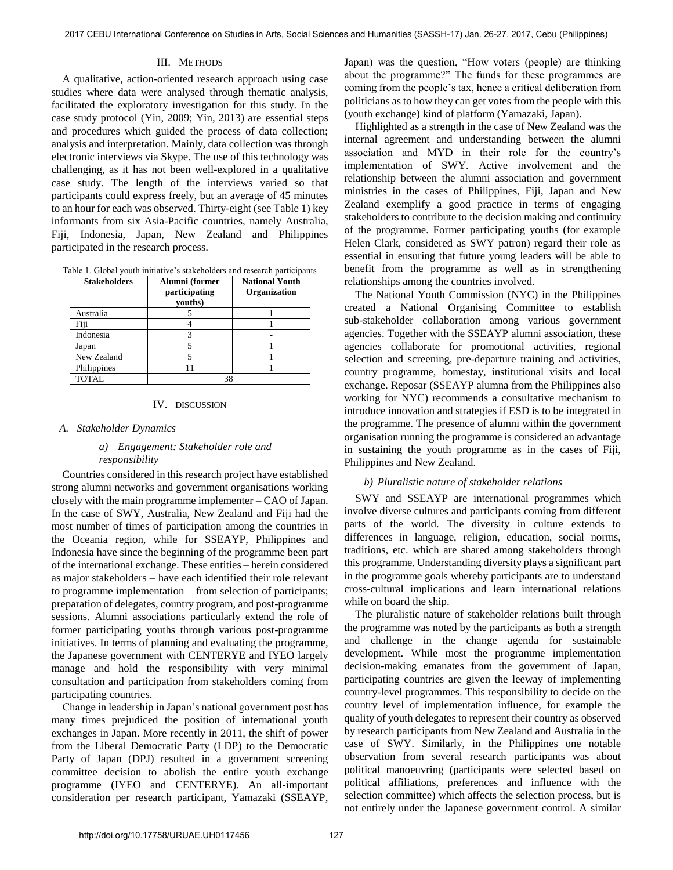# III. METHODS

A qualitative, action-oriented research approach using case studies where data were analysed through thematic analysis, facilitated the exploratory investigation for this study. In the case study protocol (Yin, 2009; Yin, 2013) are essential steps and procedures which guided the process of data collection; analysis and interpretation. Mainly, data collection was through electronic interviews via Skype. The use of this technology was challenging, as it has not been well-explored in a qualitative case study. The length of the interviews varied so that participants could express freely, but an average of 45 minutes to an hour for each was observed. Thirty-eight (see Table 1) key informants from six Asia-Pacific countries, namely Australia, Fiji, Indonesia, Japan, New Zealand and Philippines participated in the research process.

|  |  |  |  | Table 1. Global youth initiative's stakeholders and research participants |  |  |  |  |
|--|--|--|--|---------------------------------------------------------------------------|--|--|--|--|
|--|--|--|--|---------------------------------------------------------------------------|--|--|--|--|

| <b>Stakeholders</b> | Alumni (former<br>participating<br>vouths) | <b>National Youth</b><br>Organization |
|---------------------|--------------------------------------------|---------------------------------------|
| Australia           |                                            |                                       |
| Fiji                |                                            |                                       |
| Indonesia           |                                            |                                       |
| Japan               |                                            |                                       |
| New Zealand         |                                            |                                       |
| Philippines         |                                            |                                       |
| <b>TOTAL</b>        |                                            |                                       |

#### IV. DISCUSSION

#### *A. Stakeholder Dynamics*

# *a) Engagement: Stakeholder role and responsibility*

 Countries considered in this research project have established strong alumni networks and government organisations working closely with the main programme implementer – CAO of Japan. In the case of SWY, Australia, New Zealand and Fiji had the most number of times of participation among the countries in the Oceania region, while for SSEAYP, Philippines and Indonesia have since the beginning of the programme been part of the international exchange. These entities – herein considered as major stakeholders – have each identified their role relevant to programme implementation – from selection of participants; preparation of delegates, country program, and post-programme sessions. Alumni associations particularly extend the role of former participating youths through various post-programme initiatives. In terms of planning and evaluating the programme, the Japanese government with CENTERYE and IYEO largely manage and hold the responsibility with very minimal consultation and participation from stakeholders coming from participating countries.

Change in leadership in Japan's national government post has many times prejudiced the position of international youth exchanges in Japan. More recently in 2011, the shift of power from the Liberal Democratic Party (LDP) to the Democratic Party of Japan (DPJ) resulted in a government screening committee decision to abolish the entire youth exchange programme (IYEO and CENTERYE). An all-important consideration per research participant, Yamazaki (SSEAYP,

Japan) was the question, "How voters (people) are thinking about the programme?" The funds for these programmes are coming from the people's tax, hence a critical deliberation from politicians as to how they can get votes from the people with this (youth exchange) kind of platform (Yamazaki, Japan).

Highlighted as a strength in the case of New Zealand was the internal agreement and understanding between the alumni association and MYD in their role for the country's implementation of SWY. Active involvement and the relationship between the alumni association and government ministries in the cases of Philippines, Fiji, Japan and New Zealand exemplify a good practice in terms of engaging stakeholders to contribute to the decision making and continuity of the programme. Former participating youths (for example Helen Clark, considered as SWY patron) regard their role as essential in ensuring that future young leaders will be able to benefit from the programme as well as in strengthening relationships among the countries involved.

 The National Youth Commission (NYC) in the Philippines created a National Organising Committee to establish sub-stakeholder collaboration among various government agencies. Together with the SSEAYP alumni association, these agencies collaborate for promotional activities, regional selection and screening, pre-departure training and activities, country programme, homestay, institutional visits and local exchange. Reposar (SSEAYP alumna from the Philippines also working for NYC) recommends a consultative mechanism to introduce innovation and strategies if ESD is to be integrated in the programme. The presence of alumni within the government organisation running the programme is considered an advantage in sustaining the youth programme as in the cases of Fiji, Philippines and New Zealand.

## *b) Pluralistic nature of stakeholder relations*

 SWY and SSEAYP are international programmes which involve diverse cultures and participants coming from different parts of the world. The diversity in culture extends to differences in language, religion, education, social norms, traditions, etc. which are shared among stakeholders through this programme. Understanding diversity plays a significant part in the programme goals whereby participants are to understand cross-cultural implications and learn international relations while on board the ship.

The pluralistic nature of stakeholder relations built through the programme was noted by the participants as both a strength and challenge in the change agenda for sustainable development. While most the programme implementation decision-making emanates from the government of Japan, participating countries are given the leeway of implementing country-level programmes. This responsibility to decide on the country level of implementation influence, for example the quality of youth delegates to represent their country as observed by research participants from New Zealand and Australia in the case of SWY. Similarly, in the Philippines one notable observation from several research participants was about political manoeuvring (participants were selected based on political affiliations, preferences and influence with the selection committee) which affects the selection process, but is not entirely under the Japanese government control. A similar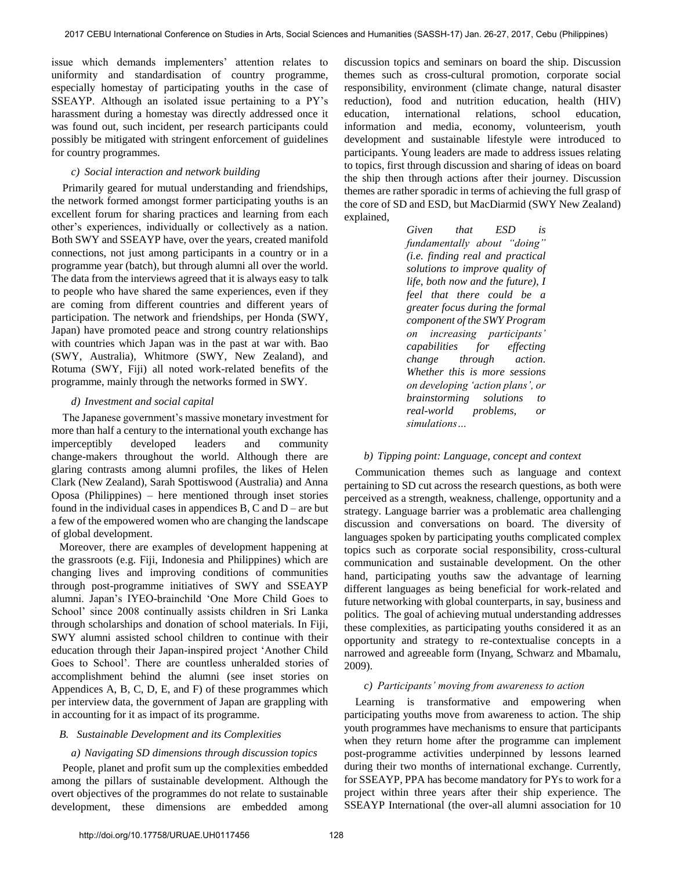issue which demands implementers' attention relates to uniformity and standardisation of country programme, especially homestay of participating youths in the case of SSEAYP. Although an isolated issue pertaining to a PY's harassment during a homestay was directly addressed once it was found out, such incident, per research participants could possibly be mitigated with stringent enforcement of guidelines for country programmes.

# *c) Social interaction and network building*

 Primarily geared for mutual understanding and friendships, the network formed amongst former participating youths is an excellent forum for sharing practices and learning from each other's experiences, individually or collectively as a nation. Both SWY and SSEAYP have, over the years, created manifold connections, not just among participants in a country or in a programme year (batch), but through alumni all over the world. The data from the interviews agreed that it is always easy to talk to people who have shared the same experiences, even if they are coming from different countries and different years of participation. The network and friendships, per Honda (SWY, Japan) have promoted peace and strong country relationships with countries which Japan was in the past at war with. Bao (SWY, Australia), Whitmore (SWY, New Zealand), and Rotuma (SWY, Fiji) all noted work-related benefits of the programme, mainly through the networks formed in SWY.

## *d) Investment and social capital*

The Japanese government's massive monetary investment for more than half a century to the international youth exchange has imperceptibly developed leaders and community change-makers throughout the world. Although there are glaring contrasts among alumni profiles, the likes of Helen Clark (New Zealand), Sarah Spottiswood (Australia) and Anna Oposa (Philippines) – here mentioned through inset stories found in the individual cases in appendices  $B, C$  and  $D$  – are but a few of the empowered women who are changing the landscape of global development.

Moreover, there are examples of development happening at the grassroots (e.g. Fiji, Indonesia and Philippines) which are changing lives and improving conditions of communities through post-programme initiatives of SWY and SSEAYP alumni. Japan's IYEO-brainchild 'One More Child Goes to School' since 2008 continually assists children in Sri Lanka through scholarships and donation of school materials. In Fiji, SWY alumni assisted school children to continue with their education through their Japan-inspired project 'Another Child Goes to School'. There are countless unheralded stories of accomplishment behind the alumni (see inset stories on Appendices A, B, C, D, E, and F) of these programmes which per interview data, the government of Japan are grappling with in accounting for it as impact of its programme.

## *B. Sustainable Development and its Complexities*

#### *a) Navigating SD dimensions through discussion topics*

 People, planet and profit sum up the complexities embedded among the pillars of sustainable development. Although the overt objectives of the programmes do not relate to sustainable development, these dimensions are embedded among

discussion topics and seminars on board the ship. Discussion themes such as cross-cultural promotion, corporate social responsibility, environment (climate change, natural disaster reduction), food and nutrition education, health (HIV) education, international relations, school education, information and media, economy, volunteerism, youth development and sustainable lifestyle were introduced to participants. Young leaders are made to address issues relating to topics, first through discussion and sharing of ideas on board the ship then through actions after their journey. Discussion themes are rather sporadic in terms of achieving the full grasp of the core of SD and ESD, but MacDiarmid (SWY New Zealand) explained,

> *Given that ESD is fundamentally about "doing" (i.e. finding real and practical solutions to improve quality of life, both now and the future), I feel that there could be a greater focus during the formal component of the SWY Program on increasing participants' capabilities for effecting change through action. Whether this is more sessions on developing 'action plans', or brainstorming solutions to real-world problems, or simulations…*

#### *b) Tipping point: Language, concept and context*

Communication themes such as language and context pertaining to SD cut across the research questions, as both were perceived as a strength, weakness, challenge, opportunity and a strategy. Language barrier was a problematic area challenging discussion and conversations on board. The diversity of languages spoken by participating youths complicated complex topics such as corporate social responsibility, cross-cultural communication and sustainable development. On the other hand, participating youths saw the advantage of learning different languages as being beneficial for work-related and future networking with global counterparts, in say, business and politics. The goal of achieving mutual understanding addresses these complexities, as participating youths considered it as an opportunity and strategy to re-contextualise concepts in a narrowed and agreeable form (Inyang, Schwarz and Mbamalu, 2009).

#### *c) Participants' moving from awareness to action*

Learning is transformative and empowering when participating youths move from awareness to action. The ship youth programmes have mechanisms to ensure that participants when they return home after the programme can implement post-programme activities underpinned by lessons learned during their two months of international exchange. Currently, for SSEAYP, PPA has become mandatory for PYs to work for a project within three years after their ship experience. The SSEAYP International (the over-all alumni association for 10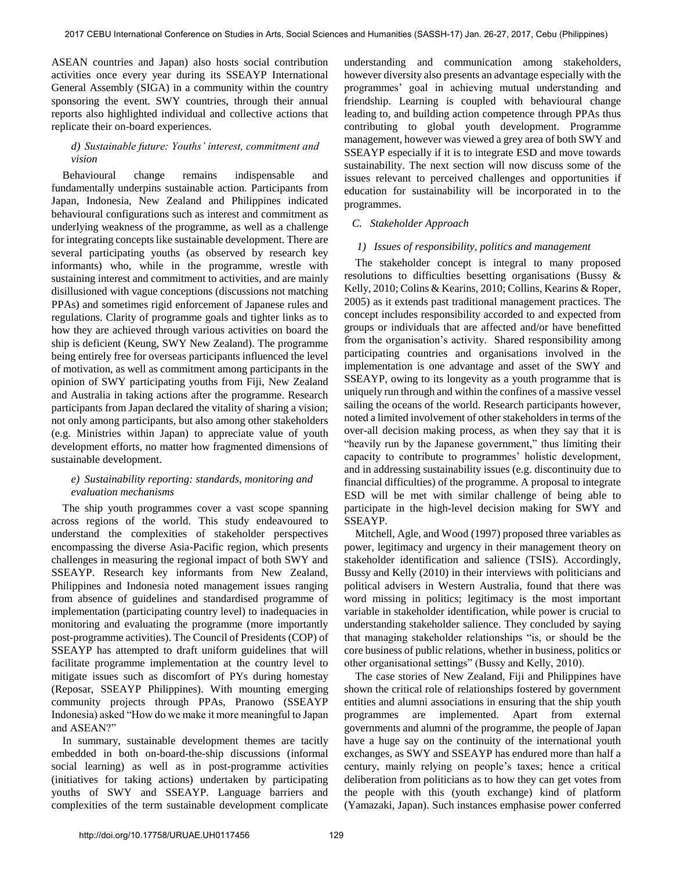ASEAN countries and Japan) also hosts social contribution activities once every year during its SSEAYP International General Assembly (SIGA) in a community within the country sponsoring the event. SWY countries, through their annual reports also highlighted individual and collective actions that replicate their on-board experiences.

## *d) Sustainable future: Youths' interest, commitment and vision*

 Behavioural change remains indispensable and fundamentally underpins sustainable action. Participants from Japan, Indonesia, New Zealand and Philippines indicated behavioural configurations such as interest and commitment as underlying weakness of the programme, as well as a challenge for integrating concepts like sustainable development. There are several participating youths (as observed by research key informants) who, while in the programme, wrestle with sustaining interest and commitment to activities, and are mainly disillusioned with vague conceptions (discussions not matching PPAs) and sometimes rigid enforcement of Japanese rules and regulations. Clarity of programme goals and tighter links as to how they are achieved through various activities on board the ship is deficient (Keung, SWY New Zealand). The programme being entirely free for overseas participants influenced the level of motivation, as well as commitment among participants in the opinion of SWY participating youths from Fiji, New Zealand and Australia in taking actions after the programme. Research participants from Japan declared the vitality of sharing a vision; not only among participants, but also among other stakeholders (e.g. Ministries within Japan) to appreciate value of youth development efforts, no matter how fragmented dimensions of sustainable development.

# *e) Sustainability reporting: standards, monitoring and evaluation mechanisms*

 The ship youth programmes cover a vast scope spanning across regions of the world. This study endeavoured to understand the complexities of stakeholder perspectives encompassing the diverse Asia-Pacific region, which presents challenges in measuring the regional impact of both SWY and SSEAYP. Research key informants from New Zealand, Philippines and Indonesia noted management issues ranging from absence of guidelines and standardised programme of implementation (participating country level) to inadequacies in monitoring and evaluating the programme (more importantly post-programme activities). The Council of Presidents (COP) of SSEAYP has attempted to draft uniform guidelines that will facilitate programme implementation at the country level to mitigate issues such as discomfort of PYs during homestay (Reposar, SSEAYP Philippines). With mounting emerging community projects through PPAs, Pranowo (SSEAYP Indonesia) asked "How do we make it more meaningful to Japan and ASEAN?"

 In summary, sustainable development themes are tacitly embedded in both on-board-the-ship discussions (informal social learning) as well as in post-programme activities (initiatives for taking actions) undertaken by participating youths of SWY and SSEAYP. Language barriers and complexities of the term sustainable development complicate understanding and communication among stakeholders, however diversity also presents an advantage especially with the programmes' goal in achieving mutual understanding and friendship. Learning is coupled with behavioural change leading to, and building action competence through PPAs thus contributing to global youth development. Programme management, however was viewed a grey area of both SWY and SSEAYP especially if it is to integrate ESD and move towards sustainability. The next section will now discuss some of the issues relevant to perceived challenges and opportunities if education for sustainability will be incorporated in to the programmes.

# *C. Stakeholder Approach*

## *1) Issues of responsibility, politics and management*

 The stakeholder concept is integral to many proposed resolutions to difficulties besetting organisations (Bussy & Kelly, 2010; Colins & Kearins, 2010; Collins, Kearins & Roper, 2005) as it extends past traditional management practices. The concept includes responsibility accorded to and expected from groups or individuals that are affected and/or have benefitted from the organisation's activity. Shared responsibility among participating countries and organisations involved in the implementation is one advantage and asset of the SWY and SSEAYP, owing to its longevity as a youth programme that is uniquely run through and within the confines of a massive vessel sailing the oceans of the world. Research participants however, noted a limited involvement of other stakeholders in terms of the over-all decision making process, as when they say that it is "heavily run by the Japanese government," thus limiting their capacity to contribute to programmes' holistic development, and in addressing sustainability issues (e.g. discontinuity due to financial difficulties) of the programme. A proposal to integrate ESD will be met with similar challenge of being able to participate in the high-level decision making for SWY and SSEAYP.

Mitchell, Agle, and Wood (1997) proposed three variables as power, legitimacy and urgency in their management theory on stakeholder identification and salience (TSIS). Accordingly, Bussy and Kelly (2010) in their interviews with politicians and political advisers in Western Australia, found that there was word missing in politics; legitimacy is the most important variable in stakeholder identification, while power is crucial to understanding stakeholder salience. They concluded by saying that managing stakeholder relationships "is, or should be the core business of public relations, whether in business, politics or other organisational settings" (Bussy and Kelly, 2010).

The case stories of New Zealand, Fiji and Philippines have shown the critical role of relationships fostered by government entities and alumni associations in ensuring that the ship youth programmes are implemented. Apart from external governments and alumni of the programme, the people of Japan have a huge say on the continuity of the international youth exchanges, as SWY and SSEAYP has endured more than half a century, mainly relying on people's taxes; hence a critical deliberation from politicians as to how they can get votes from the people with this (youth exchange) kind of platform (Yamazaki, Japan). Such instances emphasise power conferred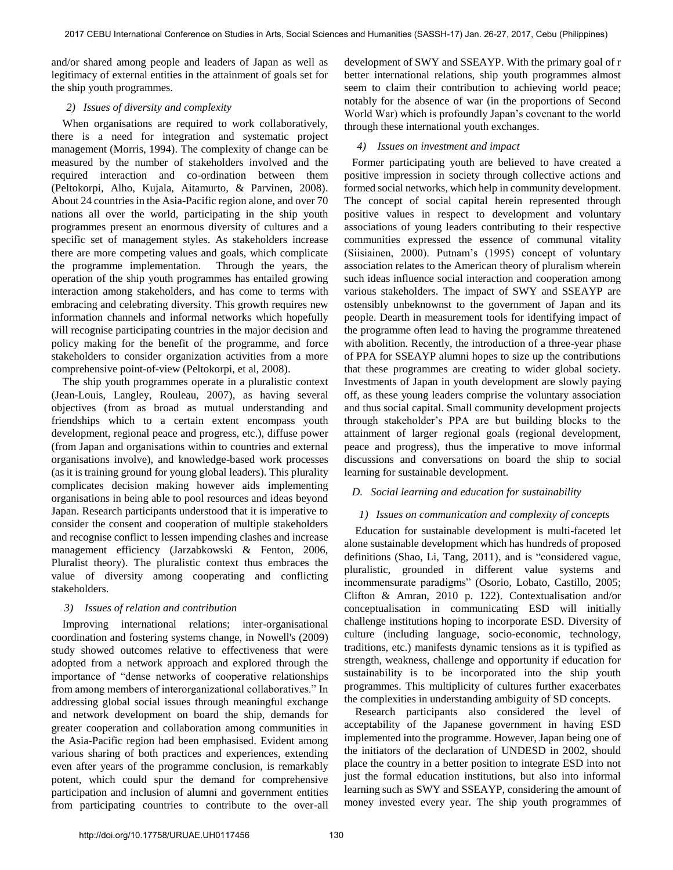and/or shared among people and leaders of Japan as well as legitimacy of external entities in the attainment of goals set for the ship youth programmes.

## *2) Issues of diversity and complexity*

When organisations are required to work collaboratively, there is a need for integration and systematic project management (Morris, 1994). The complexity of change can be measured by the number of stakeholders involved and the required interaction and co-ordination between them (Peltokorpi, Alho, Kujala, Aitamurto, & Parvinen, 2008). About 24 countries in the Asia-Pacific region alone, and over 70 nations all over the world, participating in the ship youth programmes present an enormous diversity of cultures and a specific set of management styles. As stakeholders increase there are more competing values and goals, which complicate the programme implementation. Through the years, the operation of the ship youth programmes has entailed growing interaction among stakeholders, and has come to terms with embracing and celebrating diversity. This growth requires new information channels and informal networks which hopefully will recognise participating countries in the major decision and policy making for the benefit of the programme, and force stakeholders to consider organization activities from a more comprehensive point-of-view (Peltokorpi, et al, 2008).

The ship youth programmes operate in a pluralistic context (Jean-Louis, Langley, Rouleau, 2007), as having several objectives (from as broad as mutual understanding and friendships which to a certain extent encompass youth development, regional peace and progress, etc.), diffuse power (from Japan and organisations within to countries and external organisations involve), and knowledge-based work processes (as it is training ground for young global leaders). This plurality complicates decision making however aids implementing organisations in being able to pool resources and ideas beyond Japan. Research participants understood that it is imperative to consider the consent and cooperation of multiple stakeholders and recognise conflict to lessen impending clashes and increase management efficiency (Jarzabkowski & Fenton, 2006, Pluralist theory). The pluralistic context thus embraces the value of diversity among cooperating and conflicting stakeholders.

# *3) Issues of relation and contribution*

 Improving international relations; inter-organisational coordination and fostering systems change, in Nowell's (2009) study showed outcomes relative to effectiveness that were adopted from a network approach and explored through the importance of "dense networks of cooperative relationships from among members of interorganizational collaboratives." In addressing global social issues through meaningful exchange and network development on board the ship, demands for greater cooperation and collaboration among communities in the Asia-Pacific region had been emphasised. Evident among various sharing of both practices and experiences, extending even after years of the programme conclusion, is remarkably potent, which could spur the demand for comprehensive participation and inclusion of alumni and government entities from participating countries to contribute to the over-all

development of SWY and SSEAYP. With the primary goal of r better international relations, ship youth programmes almost seem to claim their contribution to achieving world peace; notably for the absence of war (in the proportions of Second World War) which is profoundly Japan's covenant to the world through these international youth exchanges.

## *4) Issues on investment and impact*

Former participating youth are believed to have created a positive impression in society through collective actions and formed social networks, which help in community development. The concept of social capital herein represented through positive values in respect to development and voluntary associations of young leaders contributing to their respective communities expressed the essence of communal vitality (Siisiainen, 2000). Putnam's (1995) concept of voluntary association relates to the American theory of pluralism wherein such ideas influence social interaction and cooperation among various stakeholders. The impact of SWY and SSEAYP are ostensibly unbeknownst to the government of Japan and its people. Dearth in measurement tools for identifying impact of the programme often lead to having the programme threatened with abolition. Recently, the introduction of a three-year phase of PPA for SSEAYP alumni hopes to size up the contributions that these programmes are creating to wider global society. Investments of Japan in youth development are slowly paying off, as these young leaders comprise the voluntary association and thus social capital. Small community development projects through stakeholder's PPA are but building blocks to the attainment of larger regional goals (regional development, peace and progress), thus the imperative to move informal discussions and conversations on board the ship to social learning for sustainable development.

# *D. Social learning and education for sustainability*

## *1) Issues on communication and complexity of concepts*

Education for sustainable development is multi-faceted let alone sustainable development which has hundreds of proposed definitions (Shao, Li, Tang, 2011), and is "considered vague, pluralistic, grounded in different value systems and incommensurate paradigms" (Osorio, Lobato, Castillo, 2005; Clifton & Amran, 2010 p. 122). Contextualisation and/or conceptualisation in communicating ESD will initially challenge institutions hoping to incorporate ESD. Diversity of culture (including language, socio-economic, technology, traditions, etc.) manifests dynamic tensions as it is typified as strength, weakness, challenge and opportunity if education for sustainability is to be incorporated into the ship youth programmes. This multiplicity of cultures further exacerbates the complexities in understanding ambiguity of SD concepts.

Research participants also considered the level of acceptability of the Japanese government in having ESD implemented into the programme. However, Japan being one of the initiators of the declaration of UNDESD in 2002, should place the country in a better position to integrate ESD into not just the formal education institutions, but also into informal learning such as SWY and SSEAYP, considering the amount of money invested every year. The ship youth programmes of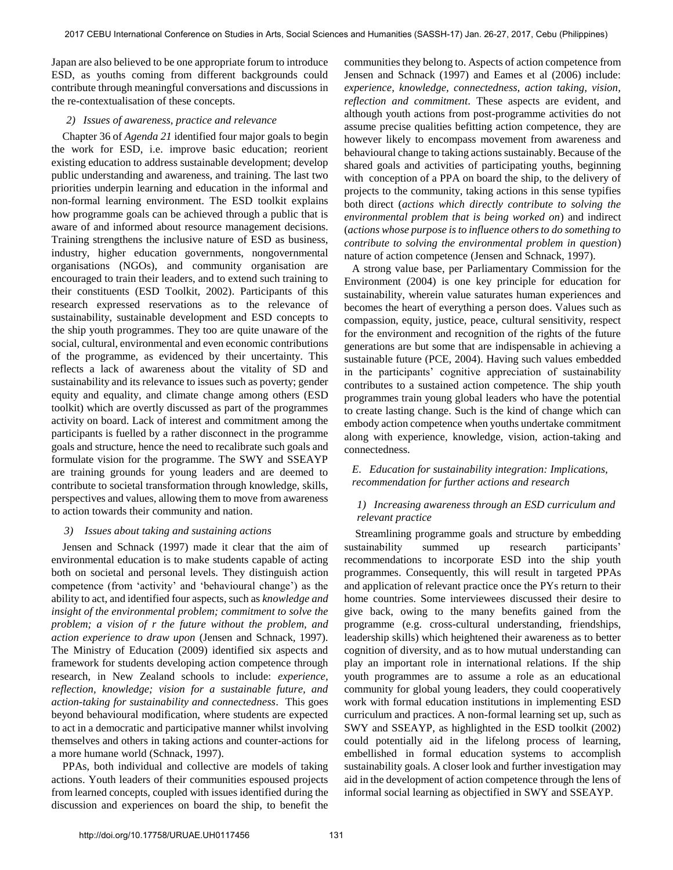Japan are also believed to be one appropriate forum to introduce ESD, as youths coming from different backgrounds could contribute through meaningful conversations and discussions in the re-contextualisation of these concepts.

#### *2) Issues of awareness, practice and relevance*

Chapter 36 of *Agenda 21* identified four major goals to begin the work for ESD, i.e. improve basic education; reorient existing education to address sustainable development; develop public understanding and awareness, and training. The last two priorities underpin learning and education in the informal and non-formal learning environment. The ESD toolkit explains how programme goals can be achieved through a public that is aware of and informed about resource management decisions. Training strengthens the inclusive nature of ESD as business, industry, higher education governments, nongovernmental organisations (NGOs), and community organisation are encouraged to train their leaders, and to extend such training to their constituents (ESD Toolkit, 2002). Participants of this research expressed reservations as to the relevance of sustainability, sustainable development and ESD concepts to the ship youth programmes. They too are quite unaware of the social, cultural, environmental and even economic contributions of the programme, as evidenced by their uncertainty. This reflects a lack of awareness about the vitality of SD and sustainability and its relevance to issues such as poverty; gender equity and equality, and climate change among others (ESD toolkit) which are overtly discussed as part of the programmes activity on board. Lack of interest and commitment among the participants is fuelled by a rather disconnect in the programme goals and structure, hence the need to recalibrate such goals and formulate vision for the programme. The SWY and SSEAYP are training grounds for young leaders and are deemed to contribute to societal transformation through knowledge, skills, perspectives and values, allowing them to move from awareness to action towards their community and nation.

## *3) Issues about taking and sustaining actions*

 Jensen and Schnack (1997) made it clear that the aim of environmental education is to make students capable of acting both on societal and personal levels. They distinguish action competence (from 'activity' and 'behavioural change') as the ability to act, and identified four aspects, such as *knowledge and insight of the environmental problem; commitment to solve the problem; a vision of r the future without the problem, and action experience to draw upon* (Jensen and Schnack, 1997). The Ministry of Education (2009) identified six aspects and framework for students developing action competence through research, in New Zealand schools to include: *experience, reflection, knowledge; vision for a sustainable future, and action-taking for sustainability and connectedness*. This goes beyond behavioural modification, where students are expected to act in a democratic and participative manner whilst involving themselves and others in taking actions and counter-actions for a more humane world (Schnack, 1997).

PPAs, both individual and collective are models of taking actions. Youth leaders of their communities espoused projects from learned concepts, coupled with issues identified during the discussion and experiences on board the ship, to benefit the

communities they belong to. Aspects of action competence from Jensen and Schnack (1997) and Eames et al (2006) include: *experience, knowledge, connectedness, action taking, vision, reflection and commitment*. These aspects are evident, and although youth actions from post-programme activities do not assume precise qualities befitting action competence, they are however likely to encompass movement from awareness and behavioural change to taking actions sustainably. Because of the shared goals and activities of participating youths, beginning with conception of a PPA on board the ship, to the delivery of projects to the community, taking actions in this sense typifies both direct (*actions which directly contribute to solving the environmental problem that is being worked on*) and indirect (*actions whose purpose is to influence others to do something to contribute to solving the environmental problem in question*) nature of action competence (Jensen and Schnack, 1997).

A strong value base, per Parliamentary Commission for the Environment (2004) is one key principle for education for sustainability, wherein value saturates human experiences and becomes the heart of everything a person does. Values such as compassion, equity, justice, peace, cultural sensitivity, respect for the environment and recognition of the rights of the future generations are but some that are indispensable in achieving a sustainable future (PCE, 2004). Having such values embedded in the participants' cognitive appreciation of sustainability contributes to a sustained action competence. The ship youth programmes train young global leaders who have the potential to create lasting change. Such is the kind of change which can embody action competence when youths undertake commitment along with experience, knowledge, vision, action-taking and connectedness.

# *E. Education for sustainability integration: Implications, recommendation for further actions and research*

# *1) Increasing awareness through an ESD curriculum and relevant practice*

Streamlining programme goals and structure by embedding sustainability summed up research participants' recommendations to incorporate ESD into the ship youth programmes. Consequently, this will result in targeted PPAs and application of relevant practice once the PYs return to their home countries. Some interviewees discussed their desire to give back, owing to the many benefits gained from the programme (e.g. cross-cultural understanding, friendships, leadership skills) which heightened their awareness as to better cognition of diversity, and as to how mutual understanding can play an important role in international relations. If the ship youth programmes are to assume a role as an educational community for global young leaders, they could cooperatively work with formal education institutions in implementing ESD curriculum and practices. A non-formal learning set up, such as SWY and SSEAYP, as highlighted in the ESD toolkit (2002) could potentially aid in the lifelong process of learning, embellished in formal education systems to accomplish sustainability goals. A closer look and further investigation may aid in the development of action competence through the lens of informal social learning as objectified in SWY and SSEAYP.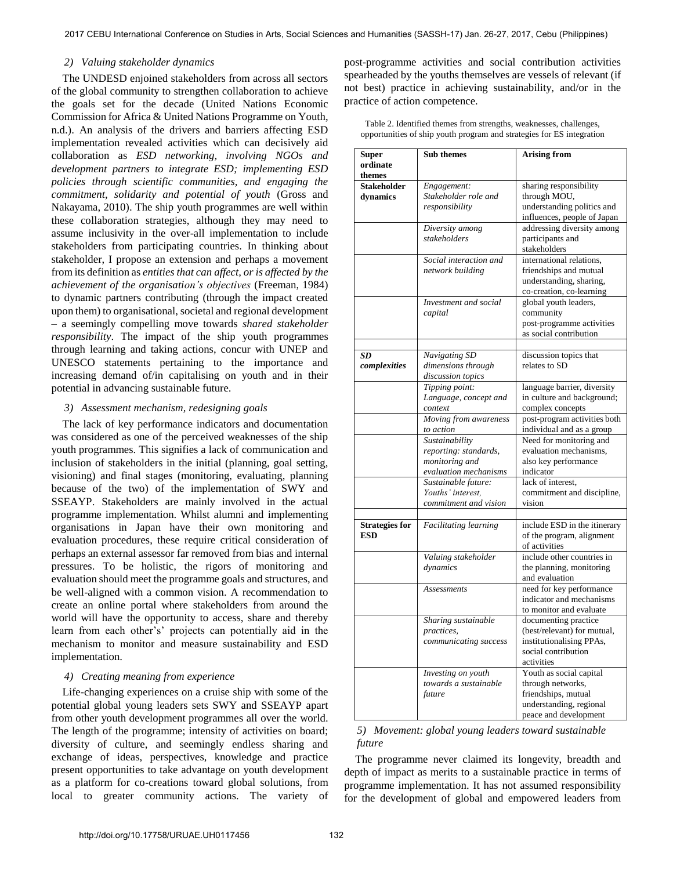#### *2) Valuing stakeholder dynamics*

The UNDESD enjoined stakeholders from across all sectors of the global community to strengthen collaboration to achieve the goals set for the decade (United Nations Economic Commission for Africa & United Nations Programme on Youth, n.d.). An analysis of the drivers and barriers affecting ESD implementation revealed activities which can decisively aid collaboration as *ESD networking, involving NGOs and development partners to integrate ESD; implementing ESD policies through scientific communities, and engaging the commitment, solidarity and potential of youth* (Gross and Nakayama, 2010). The ship youth programmes are well within these collaboration strategies, although they may need to assume inclusivity in the over-all implementation to include stakeholders from participating countries. In thinking about stakeholder, I propose an extension and perhaps a movement from its definition as *entities that can affect, or is affected by the achievement of the organisation's objectives* (Freeman, 1984) to dynamic partners contributing (through the impact created upon them) to organisational, societal and regional development – a seemingly compelling move towards *shared stakeholder responsibility*. The impact of the ship youth programmes through learning and taking actions, concur with UNEP and UNESCO statements pertaining to the importance and increasing demand of/in capitalising on youth and in their potential in advancing sustainable future.

#### *3) Assessment mechanism, redesigning goals*

The lack of key performance indicators and documentation was considered as one of the perceived weaknesses of the ship youth programmes. This signifies a lack of communication and inclusion of stakeholders in the initial (planning, goal setting, visioning) and final stages (monitoring, evaluating, planning because of the two) of the implementation of SWY and SSEAYP. Stakeholders are mainly involved in the actual programme implementation. Whilst alumni and implementing organisations in Japan have their own monitoring and evaluation procedures, these require critical consideration of perhaps an external assessor far removed from bias and internal pressures. To be holistic, the rigors of monitoring and evaluation should meet the programme goals and structures, and be well-aligned with a common vision. A recommendation to create an online portal where stakeholders from around the world will have the opportunity to access, share and thereby learn from each other's' projects can potentially aid in the mechanism to monitor and measure sustainability and ESD implementation.

# *4) Creating meaning from experience*

Life-changing experiences on a cruise ship with some of the potential global young leaders sets SWY and SSEAYP apart from other youth development programmes all over the world. The length of the programme; intensity of activities on board; diversity of culture, and seemingly endless sharing and exchange of ideas, perspectives, knowledge and practice present opportunities to take advantage on youth development as a platform for co-creations toward global solutions, from local to greater community actions. The variety of post-programme activities and social contribution activities spearheaded by the youths themselves are vessels of relevant (if not best) practice in achieving sustainability, and/or in the practice of action competence.

| Super<br>ordinate<br>themes         | <b>Sub themes</b>                                                                                         | <b>Arising from</b>                                                                                                     |
|-------------------------------------|-----------------------------------------------------------------------------------------------------------|-------------------------------------------------------------------------------------------------------------------------|
| <b>Stakeholder</b><br>dynamics      | Engagement:<br>Stakeholder role and<br>responsibility                                                     | sharing responsibility<br>through MOU,<br>understanding politics and<br>influences, people of Japan                     |
|                                     | Diversity among<br>stakeholders                                                                           | addressing diversity among<br>participants and<br>stakeholders                                                          |
|                                     | Social interaction and<br>network building                                                                | international relations,<br>friendships and mutual<br>understanding, sharing,<br>co-creation, co-learning               |
|                                     | Investment and social<br>capital                                                                          | global youth leaders,<br>community<br>post-programme activities<br>as social contribution                               |
| SD<br>complexities                  | Navigating SD<br>dimensions through<br>discussion topics                                                  | discussion topics that<br>relates to SD                                                                                 |
|                                     | Tipping point:<br>Language, concept and<br>context<br>Moving from awareness                               | language barrier, diversity<br>in culture and background;<br>complex concepts<br>post-program activities both           |
|                                     | to action                                                                                                 | individual and as a group                                                                                               |
|                                     | Sustainability<br>reporting: standards,<br>monitoring and<br>evaluation mechanisms<br>Sustainable future: | Need for monitoring and<br>evaluation mechanisms,<br>also key performance<br>indicator<br>lack of interest.             |
|                                     | Youths' interest,<br>commitment and vision                                                                | commitment and discipline,<br>vision                                                                                    |
| <b>Strategies for</b><br><b>ESD</b> | <b>Facilitating learning</b>                                                                              | include ESD in the itinerary<br>of the program, alignment<br>of activities                                              |
|                                     | Valuing stakeholder<br>dynamics                                                                           | include other countries in<br>the planning, monitoring<br>and evaluation                                                |
|                                     | <b>Assessments</b>                                                                                        | need for key performance<br>indicator and mechanisms<br>to monitor and evaluate                                         |
|                                     | Sharing sustainable<br>practices,<br>communicating success                                                | documenting practice<br>(best/relevant) for mutual,<br>institutionalising PPAs,<br>social contribution<br>activities    |
|                                     | Investing on youth<br>towards a sustainable<br>future                                                     | Youth as social capital<br>through networks,<br>friendships, mutual<br>understanding, regional<br>peace and development |

Table 2. Identified themes from strengths, weaknesses, challenges, opportunities of ship youth program and strategies for ES integration

## *5) Movement: global young leaders toward sustainable future*

 The programme never claimed its longevity, breadth and depth of impact as merits to a sustainable practice in terms of programme implementation. It has not assumed responsibility for the development of global and empowered leaders from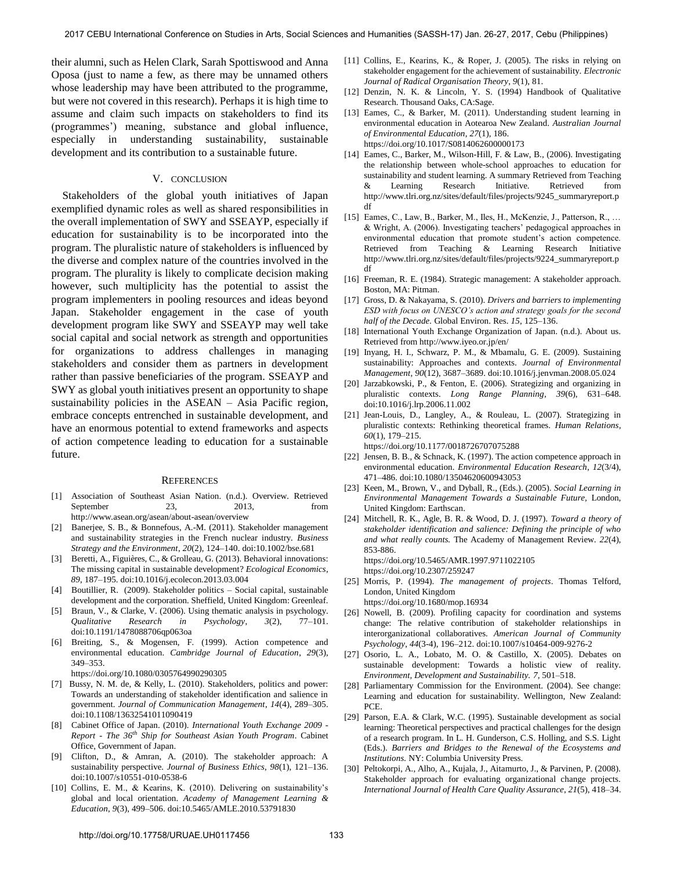their alumni, such as Helen Clark, Sarah Spottiswood and Anna Oposa (just to name a few, as there may be unnamed others whose leadership may have been attributed to the programme, but were not covered in this research). Perhaps it is high time to assume and claim such impacts on stakeholders to find its (programmes') meaning, substance and global influence, especially in understanding sustainability, sustainable development and its contribution to a sustainable future.

#### V. CONCLUSION

Stakeholders of the global youth initiatives of Japan exemplified dynamic roles as well as shared responsibilities in the overall implementation of SWY and SSEAYP, especially if education for sustainability is to be incorporated into the program. The pluralistic nature of stakeholders is influenced by the diverse and complex nature of the countries involved in the program. The plurality is likely to complicate decision making however, such multiplicity has the potential to assist the program implementers in pooling resources and ideas beyond Japan. Stakeholder engagement in the case of youth development program like SWY and SSEAYP may well take social capital and social network as strength and opportunities for organizations to address challenges in managing stakeholders and consider them as partners in development rather than passive beneficiaries of the program. SSEAYP and SWY as global youth initiatives present an opportunity to shape sustainability policies in the ASEAN – Asia Pacific region, embrace concepts entrenched in sustainable development, and have an enormous potential to extend frameworks and aspects of action competence leading to education for a sustainable future.

#### **REFERENCES**

- [1] Association of Southeast Asian Nation. (n.d.). Overview. Retrieved September 23, 2013, from http://www.asean.org/asean/about-asean/overview
- [2] Banerjee, S. B., & [Bonnefous, A.-M. \(2011\). Stakeholder management](https://doi.org/10.1002/bse.681)  [and sustainability strategies in](https://doi.org/10.1002/bse.681) the French nuclear industry. *Business Strategy and the Environment*, *20*(2), 124–140. doi:10.1002/bse.681
- [3] Beretti, A., Figuières[, C., & Grolleau, G. \(2013\). Behavioral innovations:](https://doi.org/10.1016/j.ecolecon.2013.03.004)  [The missing capital in sustainable development?](https://doi.org/10.1016/j.ecolecon.2013.03.004) *Ecological Economics*, *89*, 187–195. doi:10.1016/j.ecolecon.2013.03.004
- [4] Boutillier, R. (2009). Stakeholder politics Social capital, sustainable development and the corporation. Sheffield, United Kingdom: Greenleaf.
- [5] Braun, V., [& Clarke, V. \(2006\). Using thematic](https://doi.org/10.1191/1478088706qp063oa) analysis in psychology. *Qualitative Research in Psychology*, *3*(2), 77–101. doi:10.1191/1478088706qp063oa
- [6] [Breiting, S., & Mogensen, F. \(1999\). Action competence and](https://doi.org/10.1080/0305764990290305)  environmental education. *[Cambridge Journal of Education](https://doi.org/10.1080/0305764990290305)*, *29*(3), [349–353.](https://doi.org/10.1080/0305764990290305)
	- <https://doi.org/10.1080/0305764990290305>
- [7] Bussy, N. M. [de, & Kelly, L. \(2010\). Stakeholders, politics and power:](https://doi.org/10.1108/13632541011090419)  [Towards an understanding of stakeholder identification and salience in](https://doi.org/10.1108/13632541011090419)  [government.](https://doi.org/10.1108/13632541011090419) *Journal of Communication Management*, *14*(4), 289–305. doi:10.1108/13632541011090419
- [8] Cabinet Office of Japan. (2010). *International Youth Exchange 2009 Report - The 36th Ship for Southeast Asian Youth Program*. Cabinet Office, Government of Japan.
- [9] Clifton, [D., & Amran, A. \(2010\). The stakeholder approach: A](https://doi.org/10.1007/s10551-010-0538-6)  [sustainability perspective.](https://doi.org/10.1007/s10551-010-0538-6) *Journal of Business Ethics*, *98*(1), 121–136. doi:10.1007/s10551-010-0538-6
- [10] Collins, E. [M., & Kearins, K. \(2010\). Delivering on sustainability's](https://doi.org/10.5465/AMLE.2010.53791830)  [global and local orientation.](https://doi.org/10.5465/AMLE.2010.53791830) *Academy of Management Learning & Education*, *9*(3), 499–506. doi:10.5465/AMLE.2010.53791830
- [11] Collins, E., Kearins, K., & Roper, J. (2005). The risks in relying on stakeholder engagement for the achievement of sustainability. *Electronic Journal of Radical Organisation Theory*, *9*(1), 81.
- [12] Denzin, N. K. & Lincoln, Y. S. (1994) Handbook of Qualitative Research. Thousand Oaks, CA:Sage.
- [13] Eames, C., & Barker, M. (2011). Understanding student learning in [environmental education in Aotearoa New Zealand.](https://doi.org/10.1017/S0814062600000173) *Australian Journal [of Environmental Education](https://doi.org/10.1017/S0814062600000173)*, *27*(1), 186. <https://doi.org/10.1017/S0814062600000173>
- [14] Eames, C., Barker, M., Wilson-Hill, F. & Law, B., (2006). Investigating the relationship between whole-school approaches to education for sustainability and student learning. A summary Retrieved from Teaching & Learning Research Initiative. Retrieved from http://www.tlri.org.nz/sites/default/files/projects/9245\_summaryreport.p df
- [15] Eames, C., Law, B., Barker, M., Iles, H., McKenzie, J., Patterson, R., … & Wright, A. (2006). Investigating teachers' pedagogical approaches in environmental education that promote student's action competence. Retrieved from Teaching & Learning Research Initiative http://www.tlri.org.nz/sites/default/files/projects/9224\_summaryreport.p df
- [16] Freeman, R. E. (1984). Strategic management: A stakeholder approach. Boston, MA: Pitman.
- [17] Gross, D. & Nakayama, S. (2010). *Drivers and barriers to implementing ESD with focus on UNESCO's action and strategy goals for the second half of the Decade.* Global Environ. Res. *15*, 125–136.
- [18] International Youth Exchange Organization of Japan. (n.d.). About us. Retrieved from http://www.iyeo.or.jp/en/
- [19] Inyang, H. [I., Schwarz, P. M., & Mbamalu, G. E. \(2009\). Sustaining](https://doi.org/10.1016/j.jenvman.2008.05.024)  [sustainability: Approaches and](https://doi.org/10.1016/j.jenvman.2008.05.024) contexts. *Journal of Environmental Management*, *90*(12), 3687–3689. doi:10.1016/j.jenvman.2008.05.024
- [20] Jarzabkowski, [P., & Fenton, E. \(2006\). Strategizing and organizing in](https://doi.org/10.1016/j.lrp.2006.11.002)  [pluralistic contexts.](https://doi.org/10.1016/j.lrp.2006.11.002) *Long Range Planning*, *39*(6), 631–648. doi:10.1016/j.lrp.2006.11.002
- [21] Jean-Louis, D., Langley, A., & Rouleau, L. (2007). Strategizing in [pluralistic contexts: Rethinking theoretical frames.](https://doi.org/10.1177/0018726707075288) *Human Relations*, *60*[\(1\), 179–215.](https://doi.org/10.1177/0018726707075288) <https://doi.org/10.1177/0018726707075288>
- [22] Jensen, B. B.[, & Schnack, K. \(1997\). The action competence approach in](https://doi.org/10.1080/13504620600943053)  [environmental education.](https://doi.org/10.1080/13504620600943053) *Environmental Education Research*, *12*(3/4), 471–486. doi:10.1080/13504620600943053
- [23] Keen, M., Brown, V., and Dyball, R., (Eds.). (2005). *Social Learning in Environmental Management Towards a Sustainable Future,* London, United Kingdom: Earthscan.
- [24] [Mitchell, R. K., Agle, B. R. & Wood, D. J. \(1997\).](https://doi.org/10.5465/AMR.1997.9711022105) *Toward a theory of [stakeholder identification and salience: Defining the principle of who](https://doi.org/10.5465/AMR.1997.9711022105)  and what really counts.* [The Academy of Management Review.](https://doi.org/10.5465/AMR.1997.9711022105) *22*(4), [853-886.](https://doi.org/10.5465/AMR.1997.9711022105) <https://doi.org/10.5465/AMR.1997.9711022105>

<https://doi.org/10.2307/259247>

- [25] Morris, P. (1994). *[The management of projects](https://doi.org/10.1680/mop.16934)*. Thomas Telford, [London, United Kingdom](https://doi.org/10.1680/mop.16934)
- <https://doi.org/10.1680/mop.16934>
- [26] Nowell, B. (2009). Profiling capacity for coordination and systems change: The relative contribution of stakeholder relationships in interorganizational collaboratives. *American Journal of Community Psychology*, *44*(3-4), 196–212. doi:10.1007/s10464-009-9276-2
- [27] Osorio, L. A., Lobato, M. O. & Castillo, X. (2005). Debates on sustainable development: Towards a holistic view of reality. *Environment, Development and Sustainability. 7*, 501–518.
- [28] Parliamentary Commission for the Environment. (2004). See change: Learning and education for sustainability. Wellington, New Zealand: PCE.
- [29] Parson, E.A. & Clark, W.C. (1995). Sustainable development as social learning: Theoretical perspectives and practical challenges for the design of a research program. In L. H. Gunderson, C.S. Holling, and S.S. Light (Eds.). *Barriers and Bridges to the Renewal of the Ecosystems and Institutions.* NY: Columbia University Press.
- [30] Peltokorpi, A., Alho, A., Kujala, J., Aitamurto, J., & Parvinen, P. (2008). Stakeholder approach for evaluating organizational change projects. *International Journal of Health Care Quality Assurance*, *21*(5), 418–34.